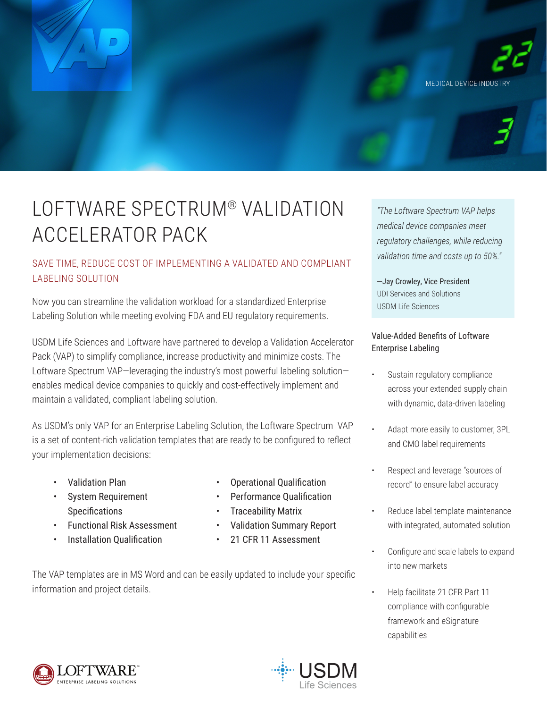

# LOFTWARE SPECTRUM® VALIDATION ACCELERATOR PACK

## SAVE TIME, REDUCE COST OF IMPLEMENTING A VALIDATED AND COMPLIANT LABELING SOLUTION

Now you can streamline the validation workload for a standardized Enterprise Labeling Solution while meeting evolving FDA and EU regulatory requirements.

USDM Life Sciences and Loftware have partnered to develop a Validation Accelerator Pack (VAP) to simplify compliance, increase productivity and minimize costs. The Loftware Spectrum VAP-leveraging the industry's most powerful labeling solutionenables medical device companies to quickly and cost-effectively implement and maintain a validated, compliant labeling solution.

As USDM's only VAP for an Enterprise Labeling Solution, the Loftware Spectrum VAP is a set of content-rich validation templates that are ready to be configured to reflect your implementation decisions:

- Validation Plan
- System Requirement Specifications
- Functional Risk Assessment
- Installation Qualification
- Operational Qualification
- Performance Qualification
- Traceability Matrix
- Validation Summary Report
- 21 CFR 11 Assessment

The VAP templates are in MS Word and can be easily updated to include your specific information and project details.

*"The Loftware Spectrum VAP helps medical device companies meet regulatory challenges, while reducing validation time and costs up to 50%."* 

-Jay Crowley, Vice President UDI Services and Solutions USDM Life Sciences

## Value-Added Benefits of Loftware Enterprise Labeling

- Sustain regulatory compliance across your extended supply chain with dynamic, data-driven labeling
- Adapt more easily to customer, 3PL and CMO label requirements
- Respect and leverage "sources of record" to ensure label accuracy
- Reduce label template maintenance with integrated, automated solution
- Configure and scale labels to expand into new markets
- Help facilitate 21 CFR Part 11 compliance with configurable framework and eSignature capabilities